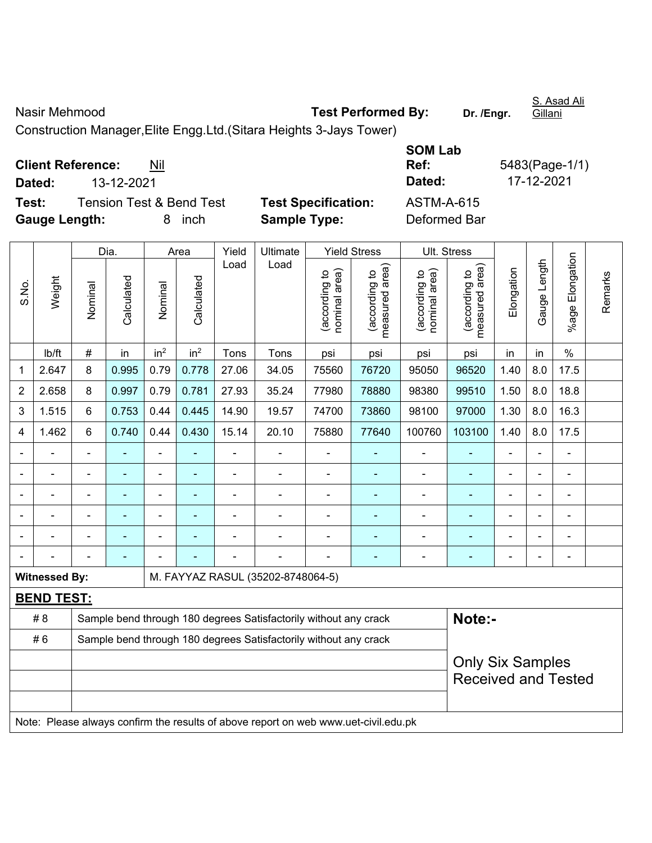Nasir Mehmood **Test Performed By:** Dr. /Engr.

Construction Manager,Elite Engg.Ltd.(Sitara Heights 3-Jays Tower)

**Client Reference:** Nil

**Dated:** 13-12-2021 **Dated:** 17-12-2021

**Test:** Tension Test & Bend Test **Test Specification:** ASTM-A-615 **Gauge Length:** 8 inch **Sample Type:** Deformed Bar

**SOM Lab** 

**Ref:** 5483(Page-1/1)

|                |                      |                                                                  | Dia.       |                              | Area            | Yield          | Ult. Stress                                                                         |                                |                                 |                                |                                                       |                |                |                              |         |
|----------------|----------------------|------------------------------------------------------------------|------------|------------------------------|-----------------|----------------|-------------------------------------------------------------------------------------|--------------------------------|---------------------------------|--------------------------------|-------------------------------------------------------|----------------|----------------|------------------------------|---------|
| S.No.          | Weight               | Nominal                                                          | Calculated | Nominal                      | Calculated      | Load           | Load                                                                                | nominal area)<br>(according to | (according to<br>measured area) | (according to<br>nominal area) | (according to<br>neasured area)<br>measured           | Elongation     | Gauge Length   | Elongation<br>%age l         | Remarks |
|                | lb/ft                | #                                                                | in         | in <sup>2</sup>              | in <sup>2</sup> | Tons           | Tons                                                                                | psi                            | psi                             | psi                            | psi                                                   | in             | in             | $\%$                         |         |
| 1              | 2.647                | 8                                                                | 0.995      | 0.79                         | 0.778           | 27.06          | 34.05                                                                               | 75560                          | 76720                           | 95050                          | 96520                                                 | 1.40           | 8.0            | 17.5                         |         |
| $\overline{2}$ | 2.658                | 8                                                                | 0.997      | 0.79                         | 0.781           | 27.93          | 35.24                                                                               | 77980                          | 78880                           | 98380                          | 99510                                                 | 1.50           | 8.0            | 18.8                         |         |
| 3              | 1.515                | 6                                                                | 0.753      | 0.44                         | 0.445           | 14.90          | 19.57                                                                               | 74700                          | 73860                           | 98100                          | 97000                                                 | 1.30           | 8.0            | 16.3                         |         |
| 4              | 1.462                | 6                                                                | 0.740      | 0.44                         | 0.430           | 15.14          | 20.10                                                                               | 75880                          | 77640                           | 100760                         | 103100                                                | 1.40           | 8.0            | 17.5                         |         |
|                |                      |                                                                  |            |                              |                 |                |                                                                                     |                                |                                 |                                |                                                       |                |                |                              |         |
|                |                      |                                                                  | ä,         | $\blacksquare$               | ٠               | ä,             | $\blacksquare$                                                                      | ä,                             | ۰                               | ä,                             | ۰                                                     | ä,             | $\blacksquare$ | $\blacksquare$               |         |
|                |                      | $\blacksquare$                                                   | ÷          | $\qquad \qquad \blacksquare$ | ٠               | ÷              | $\overline{a}$                                                                      | $\blacksquare$                 |                                 | $\blacksquare$                 | $\blacksquare$                                        | $\blacksquare$ | ÷.             | $\blacksquare$               |         |
|                |                      | $\blacksquare$                                                   | ä,         | $\blacksquare$               |                 | $\blacksquare$ | $\blacksquare$                                                                      |                                |                                 |                                | ۰                                                     | Ē,             |                | $\blacksquare$               |         |
|                |                      |                                                                  |            |                              |                 |                |                                                                                     |                                |                                 |                                | ä,                                                    |                |                |                              |         |
|                |                      |                                                                  |            |                              |                 |                |                                                                                     |                                |                                 |                                | ۰                                                     | ٠              | ۰              | $\qquad \qquad \blacksquare$ |         |
|                | <b>Witnessed By:</b> |                                                                  |            |                              |                 |                | M. FAYYAZ RASUL (35202-8748064-5)                                                   |                                |                                 |                                |                                                       |                |                |                              |         |
|                | <b>BEND TEST:</b>    |                                                                  |            |                              |                 |                |                                                                                     |                                |                                 |                                |                                                       |                |                |                              |         |
|                | #8                   |                                                                  |            |                              |                 |                | Sample bend through 180 degrees Satisfactorily without any crack                    |                                |                                 |                                | Note:-                                                |                |                |                              |         |
|                | #6                   | Sample bend through 180 degrees Satisfactorily without any crack |            |                              |                 |                |                                                                                     |                                |                                 |                                |                                                       |                |                |                              |         |
|                |                      |                                                                  |            |                              |                 |                |                                                                                     |                                |                                 |                                | <b>Only Six Samples</b><br><b>Received and Tested</b> |                |                |                              |         |
|                |                      |                                                                  |            |                              |                 |                | Note: Please always confirm the results of above report on web www.uet-civil.edu.pk |                                |                                 |                                |                                                       |                |                |                              |         |

S. Asad Ali Gillani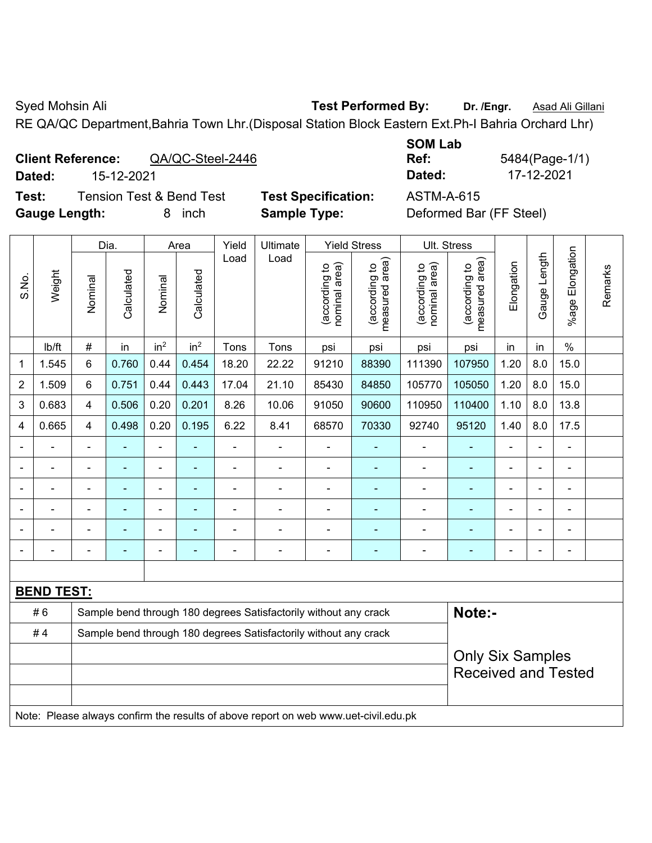Syed Mohsin Ali **Test Performed By:** Dr. /Engr. **Asad Ali Gillani** Cycle Ali Gillani

RE QA/QC Department,Bahria Town Lhr.(Disposal Station Block Eastern Ext.Ph-I Bahria Orchard Lhr)

# **Client Reference:** QA/QC-Steel-2446

**Test:** Tension Test & Bend Test **Test Specification:** ASTM-A-615 **Gauge Length:** 8 inch **Sample Type:** Deformed Bar (FF Steel)

**SOM Lab Ref:** 5484(Page-1/1) **Dated:** 15-12-2021 **Dated:** 17-12-2021

|       |                   |                                                                  | Dia.       |                 | Area            | Yield          | Ultimate                                                                            |                                | <b>Yield Stress</b>                         | Ult. Stress                    |                                 |                |                          |                      |         |  |  |
|-------|-------------------|------------------------------------------------------------------|------------|-----------------|-----------------|----------------|-------------------------------------------------------------------------------------|--------------------------------|---------------------------------------------|--------------------------------|---------------------------------|----------------|--------------------------|----------------------|---------|--|--|
| S.No. | Weight            | Nominal                                                          | Calculated | Nominal         | Calculated      | Load           | Load                                                                                | nominal area)<br>(according to | (according to<br>neasured area)<br>measured | nominal area)<br>(according to | (according to<br>measured area) | Elongation     | Gauge Length             | Elongation<br>%age I | Remarks |  |  |
|       | lb/ft             | $\#$                                                             | in         | in <sup>2</sup> | in <sup>2</sup> | Tons           | Tons                                                                                | psi                            | psi                                         | psi                            | psi                             | in             | in                       | $\%$                 |         |  |  |
| 1     | 1.545             | 6                                                                | 0.760      | 0.44            | 0.454           | 18.20          | 22.22                                                                               | 91210                          | 88390                                       | 111390                         | 107950                          | 1.20           | 8.0                      | 15.0                 |         |  |  |
| 2     | 1.509             | 6                                                                | 0.751      | 0.44            | 0.443           | 17.04          | 21.10                                                                               | 85430                          | 84850                                       | 105770                         | 105050                          | 1.20           | 8.0                      | 15.0                 |         |  |  |
| 3     | 0.683             | $\overline{4}$                                                   | 0.506      | 0.20            | 0.201           | 8.26           | 10.06                                                                               | 91050                          | 90600                                       | 110950                         | 110400                          | 1.10           | 8.0                      | 13.8                 |         |  |  |
| 4     | 0.665             | $\overline{4}$                                                   | 0.498      | 0.20            | 0.195           | 6.22           | 8.41                                                                                | 68570                          | 70330                                       | 92740                          | 95120                           | 1.40           | 8.0                      | 17.5                 |         |  |  |
|       |                   | $\blacksquare$                                                   |            | $\overline{a}$  |                 | ÷              | $\overline{\phantom{0}}$                                                            |                                |                                             | $\blacksquare$                 | $\blacksquare$                  |                |                          | L.                   |         |  |  |
|       |                   |                                                                  | ۰          |                 |                 | ÷              | ÷                                                                                   | $\blacksquare$                 |                                             | Ē,                             | ٠<br>$\blacksquare$             |                |                          |                      |         |  |  |
|       |                   |                                                                  |            |                 |                 |                | ۰                                                                                   | $\blacksquare$                 |                                             | ٠                              |                                 | ٠              |                          | $\blacksquare$       |         |  |  |
|       |                   | $\blacksquare$                                                   | ۰          | $\blacksquare$  | $\blacksquare$  | ä,             | ۰                                                                                   | $\blacksquare$                 | $\blacksquare$                              | $\blacksquare$                 | ٠                               | Ē,             | $\overline{\phantom{0}}$ | $\blacksquare$       |         |  |  |
|       |                   | ٠                                                                | ۰          | $\blacksquare$  |                 |                |                                                                                     | $\blacksquare$                 | $\blacksquare$                              | $\qquad \qquad \blacksquare$   | $\blacksquare$                  | $\blacksquare$ |                          |                      |         |  |  |
|       | $\blacksquare$    | $\blacksquare$                                                   | ä,         | $\blacksquare$  | $\blacksquare$  | $\blacksquare$ | $\overline{\phantom{0}}$                                                            | $\blacksquare$                 | $\blacksquare$                              | $\blacksquare$                 | ä,                              | $\blacksquare$ |                          | ä,                   |         |  |  |
|       |                   |                                                                  |            |                 |                 |                |                                                                                     |                                |                                             |                                |                                 |                |                          |                      |         |  |  |
|       | <b>BEND TEST:</b> |                                                                  |            |                 |                 |                |                                                                                     |                                |                                             |                                |                                 |                |                          |                      |         |  |  |
|       | #6                |                                                                  |            |                 |                 |                | Sample bend through 180 degrees Satisfactorily without any crack                    |                                |                                             |                                | Note:-                          |                |                          |                      |         |  |  |
|       | #4                | Sample bend through 180 degrees Satisfactorily without any crack |            |                 |                 |                |                                                                                     |                                |                                             |                                |                                 |                |                          |                      |         |  |  |
|       |                   |                                                                  |            |                 |                 |                |                                                                                     |                                |                                             |                                | <b>Only Six Samples</b>         |                |                          |                      |         |  |  |
|       |                   |                                                                  |            |                 |                 |                |                                                                                     |                                |                                             |                                | <b>Received and Tested</b>      |                |                          |                      |         |  |  |
|       |                   |                                                                  |            |                 |                 |                |                                                                                     |                                |                                             |                                |                                 |                |                          |                      |         |  |  |
|       |                   |                                                                  |            |                 |                 |                | Note: Please always confirm the results of above report on web www.uet-civil.edu.pk |                                |                                             |                                |                                 |                |                          |                      |         |  |  |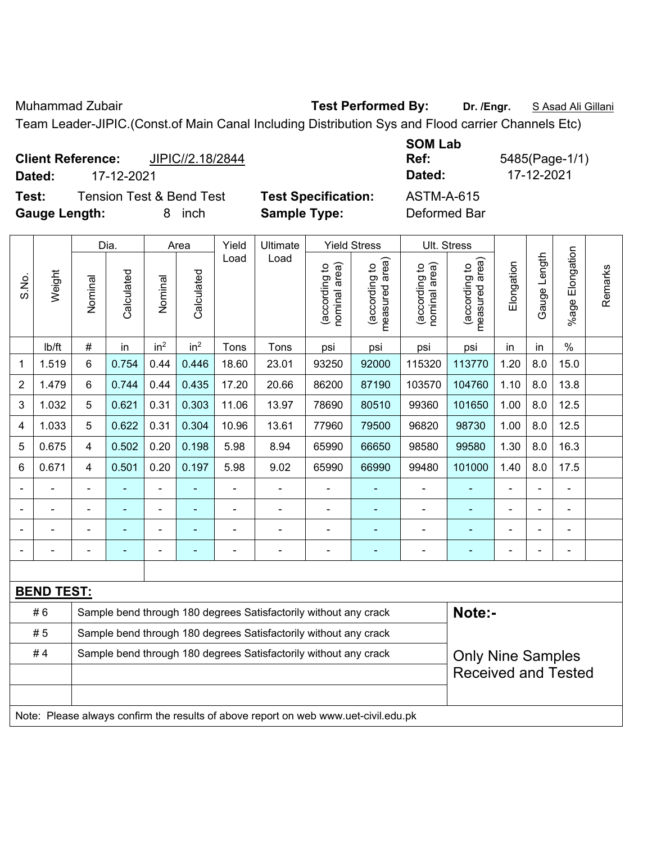Muhammad Zubair **Test Performed By: Dr. /Engr.** S Asad Ali Gillani

Team Leader-JIPIC.(Const.of Main Canal Including Distribution Sys and Flood carrier Channels Etc)

|                      | <b>Client Reference:</b> | JIPIC//2.18/2844                    |                            | <b>JUMLAD</b><br>Ref: | 5485(Page-1/ |
|----------------------|--------------------------|-------------------------------------|----------------------------|-----------------------|--------------|
| Dated:               | 17-12-2021               |                                     |                            | Dated:                | 17-12-2021   |
| Test:                |                          | <b>Tension Test &amp; Bend Test</b> | <b>Test Specification:</b> | <b>ASTM-A-615</b>     |              |
| <b>Gauge Length:</b> |                          | inch                                | <b>Sample Type:</b>        | Deformed Bar          |              |

|                | <b>Yield Stress</b><br>Ult. Stress |                                                                  |            |                 |                 |       |                                                                                     |                                |                                 |                                |                                             |                |                |                       |         |
|----------------|------------------------------------|------------------------------------------------------------------|------------|-----------------|-----------------|-------|-------------------------------------------------------------------------------------|--------------------------------|---------------------------------|--------------------------------|---------------------------------------------|----------------|----------------|-----------------------|---------|
|                |                                    |                                                                  | Dia.       |                 | Area            | Yield | Ultimate                                                                            |                                |                                 |                                |                                             |                |                |                       |         |
| S.No.          | Weight                             | Nominal                                                          | Calculated | Nominal         | Calculated      | Load  | Load                                                                                | nominal area)<br>(according to | (according to<br>measured area) | (according to<br>nominal area) | (according to<br>neasured area)<br>measured | Elongation     | Gauge Length   | Elongation<br>$%$ age | Remarks |
|                | Ib/ft                              | $\#$                                                             | in         | in <sup>2</sup> | in <sup>2</sup> | Tons  | Tons                                                                                | psi                            | psi                             | psi                            | psi                                         | in             | in             | $\%$                  |         |
| $\mathbf{1}$   | 1.519                              | $6\phantom{1}$                                                   | 0.754      | 0.44            | 0.446           | 18.60 | 23.01                                                                               | 93250                          | 92000                           | 115320                         | 113770                                      | 1.20           | 8.0            | 15.0                  |         |
| $\overline{2}$ | 1.479                              | 6                                                                | 0.744      | 0.44            | 0.435           | 17.20 | 20.66                                                                               | 86200                          | 87190                           | 103570                         | 104760                                      | 1.10           | 8.0            | 13.8                  |         |
| $\mathsf 3$    | 1.032                              | 5                                                                | 0.621      | 0.31            | 0.303           | 11.06 | 13.97                                                                               | 78690                          | 80510                           | 99360                          | 101650                                      | 1.00           | 8.0            | 12.5                  |         |
| 4              | 1.033                              | 5                                                                | 0.622      | 0.31            | 0.304           | 10.96 | 13.61                                                                               | 77960                          | 79500                           | 96820                          | 98730                                       | 1.00           | 8.0            | 12.5                  |         |
| 5              | 0.675                              | $\overline{\mathbf{4}}$                                          | 0.502      | 0.20            | 0.198           | 5.98  | 8.94                                                                                | 65990                          | 66650                           | 98580                          | 99580                                       | 1.30           | 8.0            | 16.3                  |         |
| 6              | 0.671                              | 4                                                                | 0.501      | 0.20            | 0.197           | 5.98  | 9.02                                                                                | 65990                          | 66990                           | 99480                          | 101000                                      | 1.40           | 8.0            | 17.5                  |         |
|                |                                    | ٠                                                                |            |                 |                 |       |                                                                                     |                                |                                 |                                |                                             |                |                |                       |         |
|                |                                    |                                                                  |            | $\blacksquare$  |                 |       |                                                                                     |                                |                                 |                                |                                             | $\blacksquare$ |                |                       |         |
|                |                                    |                                                                  |            | ä,              |                 |       |                                                                                     |                                |                                 |                                |                                             | -              | $\blacksquare$ | $\blacksquare$        |         |
|                |                                    | $\blacksquare$                                                   |            |                 |                 |       |                                                                                     |                                | ۰                               | $\blacksquare$                 | ۰                                           |                |                |                       |         |
|                |                                    |                                                                  |            |                 |                 |       |                                                                                     |                                |                                 |                                |                                             |                |                |                       |         |
|                | <b>BEND TEST:</b>                  |                                                                  |            |                 |                 |       |                                                                                     |                                |                                 |                                |                                             |                |                |                       |         |
|                | #6                                 |                                                                  |            |                 |                 |       | Sample bend through 180 degrees Satisfactorily without any crack                    |                                |                                 |                                | Note:-                                      |                |                |                       |         |
|                | #5                                 | Sample bend through 180 degrees Satisfactorily without any crack |            |                 |                 |       |                                                                                     |                                |                                 |                                |                                             |                |                |                       |         |
|                | #4                                 |                                                                  |            |                 |                 |       | Sample bend through 180 degrees Satisfactorily without any crack                    |                                |                                 |                                | <b>Only Nine Samples</b>                    |                |                |                       |         |
|                |                                    |                                                                  |            |                 |                 |       |                                                                                     |                                |                                 |                                | <b>Received and Tested</b>                  |                |                |                       |         |
|                |                                    |                                                                  |            |                 |                 |       |                                                                                     |                                |                                 |                                |                                             |                |                |                       |         |
|                |                                    |                                                                  |            |                 |                 |       | Note: Please always confirm the results of above report on web www.uet-civil.edu.pk |                                |                                 |                                |                                             |                |                |                       |         |

**SOM Lab Ref:** 5485(Page-1/1)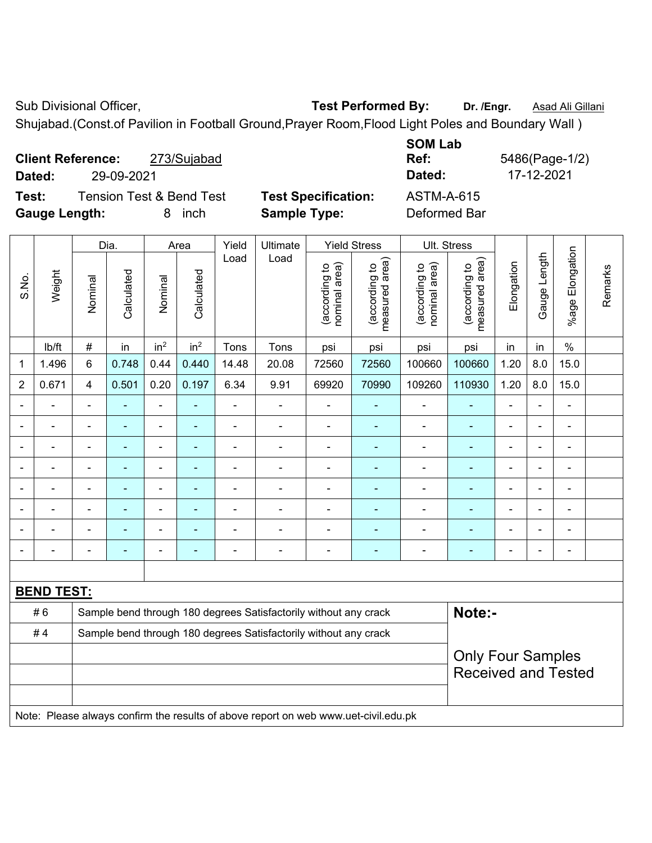Sub Divisional Officer, **Test Performed By:** Dr. /Engr. **Asad Ali Gillani Sub Divisional Officer**,

Shujabad.(Const.of Pavilion in Football Ground,Prayer Room,Flood Light Poles and Boundary Wall )

| <b>Client Reference:</b><br>273/Sujabad<br>29-09-2021<br>Dated:              |                                                   | <b>SOM Lab</b><br>Ref:<br>Dated: | 5486(Page-1/2)<br>17-12-2021 |
|------------------------------------------------------------------------------|---------------------------------------------------|----------------------------------|------------------------------|
| <b>Tension Test &amp; Bend Test</b><br>Test:<br><b>Gauge Length:</b><br>inch | <b>Test Specification:</b><br><b>Sample Type:</b> | ASTM-A-615<br>Deformed Bar       |                              |

|                |                   |                | Dia.           |                          | Area                     | Yield          | Ultimate                                                                            |                                | <b>Yield Stress</b>             |                                | Ult. Stress                     |                          |                |                          |         |  |
|----------------|-------------------|----------------|----------------|--------------------------|--------------------------|----------------|-------------------------------------------------------------------------------------|--------------------------------|---------------------------------|--------------------------------|---------------------------------|--------------------------|----------------|--------------------------|---------|--|
| S.No.          | Weight            | Nominal        | Calculated     | Nominal                  | Calculated               | Load           | Load                                                                                | nominal area)<br>(according to | measured area)<br>(according to | nominal area)<br>(according to | measured area)<br>(according to | Elongation               | Gauge Length   | %age Elongation          | Remarks |  |
|                | lb/ft             | $\#$           | in             | in <sup>2</sup>          | in <sup>2</sup>          | Tons           | Tons                                                                                | psi                            | psi                             | psi                            | psi                             | in                       | in             | $\%$                     |         |  |
| 1              | 1.496             | $6\phantom{1}$ | 0.748          | 0.44                     | 0.440                    | 14.48          | 20.08                                                                               | 72560                          | 72560                           | 100660                         | 100660                          | 1.20                     | 8.0            | 15.0                     |         |  |
| $\overline{2}$ | 0.671             | $\overline{4}$ | 0.501          | 0.20                     | 0.197                    | 6.34           | 9.91                                                                                | 69920                          | 70990                           | 109260                         | 110930                          | 1.20                     | 8.0            | 15.0                     |         |  |
|                | ä,                | $\blacksquare$ | $\blacksquare$ | ÷,                       | $\blacksquare$           | ä,             | ÷,                                                                                  | $\blacksquare$                 | $\blacksquare$                  | $\blacksquare$                 | ٠                               | $\blacksquare$           | $\blacksquare$ | ÷,                       |         |  |
|                | ä,                |                | ÷,             | $\overline{\phantom{a}}$ | $\blacksquare$           | $\blacksquare$ | ÷                                                                                   | L,                             | ä,                              | $\blacksquare$                 | $\blacksquare$                  | $\blacksquare$           | $\blacksquare$ | $\blacksquare$           |         |  |
|                | $\blacksquare$    | $\blacksquare$ | $\blacksquare$ | $\overline{\phantom{0}}$ | ٠                        | $\blacksquare$ | $\blacksquare$                                                                      | $\overline{\phantom{a}}$       | $\blacksquare$                  | $\blacksquare$                 | $\blacksquare$                  | $\blacksquare$           |                | $\blacksquare$           |         |  |
|                |                   |                |                | ÷                        | ۳                        | $\blacksquare$ | $\blacksquare$                                                                      | L,                             | ä,                              | $\blacksquare$                 | $\blacksquare$<br>۰             |                          |                |                          |         |  |
|                |                   |                |                | ۳                        |                          |                | $\blacksquare$                                                                      | $\blacksquare$                 | ٠                               | $\blacksquare$                 | ۰                               |                          |                | $\blacksquare$           |         |  |
|                |                   |                |                | ÷                        |                          | $\blacksquare$ | $\blacksquare$                                                                      | L,                             |                                 | ۰                              | $\blacksquare$                  |                          |                | $\blacksquare$           |         |  |
|                |                   |                |                | ÷                        |                          |                | $\blacksquare$                                                                      | ä,                             | Ē.                              | ٠                              |                                 |                          | ٠              | $\blacksquare$           |         |  |
|                |                   |                | ٠              | -                        | $\overline{\phantom{0}}$ | $\overline{a}$ | $\blacksquare$                                                                      | $\blacksquare$                 | $\overline{\phantom{a}}$        | $\blacksquare$                 | ۰                               | $\overline{\phantom{0}}$ | $\blacksquare$ | $\overline{\phantom{a}}$ |         |  |
|                |                   |                |                |                          |                          |                |                                                                                     |                                |                                 |                                |                                 |                          |                |                          |         |  |
|                | <b>BEND TEST:</b> |                |                |                          |                          |                |                                                                                     |                                |                                 |                                |                                 |                          |                |                          |         |  |
|                | #6                |                |                |                          |                          |                | Sample bend through 180 degrees Satisfactorily without any crack                    |                                |                                 |                                | Note:-                          |                          |                |                          |         |  |
|                | #4                |                |                |                          |                          |                | Sample bend through 180 degrees Satisfactorily without any crack                    |                                |                                 |                                |                                 |                          |                |                          |         |  |
|                |                   |                |                |                          |                          |                |                                                                                     |                                |                                 |                                | <b>Only Four Samples</b>        |                          |                |                          |         |  |
|                |                   |                |                |                          |                          |                |                                                                                     |                                |                                 |                                | <b>Received and Tested</b>      |                          |                |                          |         |  |
|                |                   |                |                |                          |                          |                | Note: Please always confirm the results of above report on web www.uet-civil.edu.pk |                                |                                 |                                |                                 |                          |                |                          |         |  |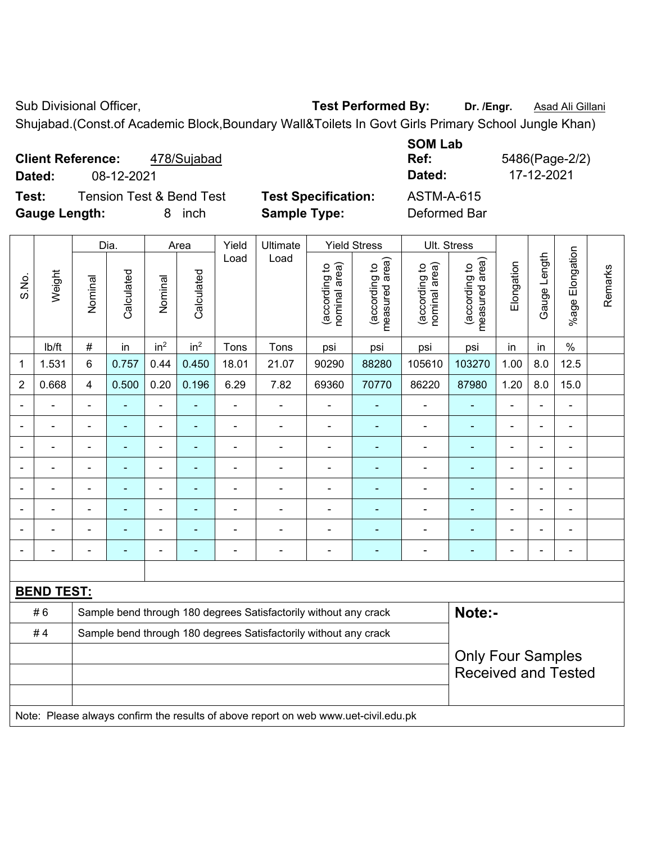Sub Divisional Officer, **Test Performed By:** Dr. /Engr. **Asad Ali Gillani Sub Divisional Officer**,

Shujabad.(Const.of Academic Block,Boundary Wall&Toilets In Govt Girls Primary School Jungle Khan)

| <b>Client Reference:</b><br>478/Sujabad<br>08-12-2021<br>Dated: |                            | <b>SOM Lab</b><br>Ref:<br>Dated: | 5486(Page-2/2)<br>17-12-2021 |
|-----------------------------------------------------------------|----------------------------|----------------------------------|------------------------------|
| <b>Tension Test &amp; Bend Test</b><br>Test:                    | <b>Test Specification:</b> | <b>ASTM-A-615</b>                |                              |
| <b>Gauge Length:</b><br>inch<br>8.                              | <b>Sample Type:</b>        | Deformed Bar                     |                              |

|                |                   |                                                                  | Dia.           |                 | Area            | Yield          | Ultimate                                                                            |                                | <b>Yield Stress</b>             |                                | Ult. Stress                                  |                |                |                           |         |  |  |  |
|----------------|-------------------|------------------------------------------------------------------|----------------|-----------------|-----------------|----------------|-------------------------------------------------------------------------------------|--------------------------------|---------------------------------|--------------------------------|----------------------------------------------|----------------|----------------|---------------------------|---------|--|--|--|
| S.No.          | Weight            | Nominal                                                          | Calculated     | Nominal         | Calculated      | Load           | Load                                                                                | nominal area)<br>(according to | measured area)<br>(according to | (according to<br>nominal area) | (according to<br>measured area)              | Elongation     | Gauge Length   | Elongation<br>$%$ age $ $ | Remarks |  |  |  |
|                | lb/ft             | $\#$                                                             | in             | in <sup>2</sup> | in <sup>2</sup> | Tons           | Tons                                                                                | psi                            | psi                             | psi                            | psi                                          | in             | in             | $\%$                      |         |  |  |  |
| 1              | 1.531             | 6                                                                | 0.757          | 0.44            | 0.450           | 18.01          | 21.07                                                                               | 90290                          | 88280                           | 105610                         | 103270                                       | 1.00           | 8.0            | 12.5                      |         |  |  |  |
| $\overline{2}$ | 0.668             | $\overline{4}$                                                   | 0.500          | 0.20            | 0.196           | 6.29           | 7.82                                                                                | 69360                          | 70770                           | 86220                          | 87980                                        | 1.20           | 8.0            | 15.0                      |         |  |  |  |
|                | $\blacksquare$    | $\blacksquare$                                                   | L,             | L,              | $\blacksquare$  | ä,             | ÷.                                                                                  | $\blacksquare$                 | $\blacksquare$                  | $\blacksquare$                 | $\blacksquare$                               | $\blacksquare$ | $\blacksquare$ | $\blacksquare$            |         |  |  |  |
| $\blacksquare$ | $\overline{a}$    | $\blacksquare$                                                   | $\blacksquare$ | $\blacksquare$  | ÷.              | $\blacksquare$ | $\blacksquare$                                                                      | $\blacksquare$                 | $\mathbf{r}$                    | $\blacksquare$                 | ٠                                            | ä,             | $\blacksquare$ | $\blacksquare$            |         |  |  |  |
|                | $\blacksquare$    | $\blacksquare$                                                   | $\blacksquare$ | $\blacksquare$  | ٠               | $\blacksquare$ | $\overline{a}$                                                                      | $\overline{\phantom{a}}$       | ٠                               | $\overline{\phantom{a}}$       | $\blacksquare$                               | $\blacksquare$ | $\blacksquare$ | $\blacksquare$            |         |  |  |  |
|                | $\blacksquare$    | $\blacksquare$                                                   | $\blacksquare$ | $\blacksquare$  | ÷               | $\blacksquare$ | $\blacksquare$                                                                      | $\blacksquare$                 | $\blacksquare$                  | $\blacksquare$                 | ä,<br>ä,<br>$\blacksquare$<br>$\blacksquare$ |                |                |                           |         |  |  |  |
|                | $\blacksquare$    | $\blacksquare$                                                   | $\blacksquare$ | $\blacksquare$  | ٠               | $\blacksquare$ | ÷.                                                                                  | $\blacksquare$                 | ٠                               | $\blacksquare$                 | $\blacksquare$                               | $\blacksquare$ |                | ä,                        |         |  |  |  |
|                |                   |                                                                  | $\overline{a}$ | ä,              |                 | $\blacksquare$ | $\blacksquare$                                                                      | Ē,                             |                                 | $\blacksquare$                 | ä,                                           |                |                | Ē,                        |         |  |  |  |
|                |                   |                                                                  |                |                 |                 |                | $\blacksquare$                                                                      | $\blacksquare$                 |                                 | ۰                              | ۳                                            |                |                | $\blacksquare$            |         |  |  |  |
|                |                   | $\blacksquare$                                                   |                | ٠               |                 |                | $\blacksquare$                                                                      | Ē,                             |                                 | $\blacksquare$                 | ۳                                            |                |                | L,                        |         |  |  |  |
|                |                   |                                                                  |                |                 |                 |                |                                                                                     |                                |                                 |                                |                                              |                |                |                           |         |  |  |  |
|                | <b>BEND TEST:</b> |                                                                  |                |                 |                 |                |                                                                                     |                                |                                 |                                |                                              |                |                |                           |         |  |  |  |
|                | #6                |                                                                  |                |                 |                 |                | Sample bend through 180 degrees Satisfactorily without any crack                    |                                |                                 |                                | Note:-                                       |                |                |                           |         |  |  |  |
|                | #4                | Sample bend through 180 degrees Satisfactorily without any crack |                |                 |                 |                |                                                                                     |                                |                                 |                                |                                              |                |                |                           |         |  |  |  |
|                |                   |                                                                  |                |                 |                 |                |                                                                                     |                                |                                 |                                | <b>Only Four Samples</b>                     |                |                |                           |         |  |  |  |
|                |                   |                                                                  |                |                 |                 |                |                                                                                     |                                |                                 |                                | <b>Received and Tested</b>                   |                |                |                           |         |  |  |  |
|                |                   |                                                                  |                |                 |                 |                |                                                                                     |                                |                                 |                                |                                              |                |                |                           |         |  |  |  |
|                |                   |                                                                  |                |                 |                 |                | Note: Please always confirm the results of above report on web www.uet-civil.edu.pk |                                |                                 |                                |                                              |                |                |                           |         |  |  |  |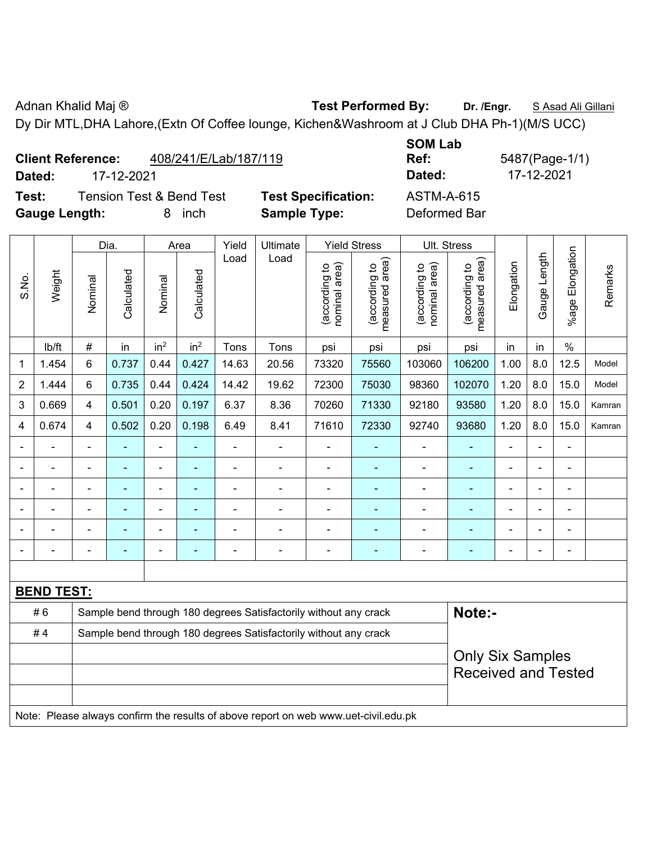Adnan Khalid Maj ® **Test Performed By:** Dr. /Engr. **SAsad Ali Gillani** By: Dr. /Engr. **SAsad Ali Gillani** Dy Dir MTL,DHA Lahore,(Extn Of Coffee lounge, Kichen&Washroom at J Club DHA Ph-1)(M/S UCC)

|                | <b>Client Reference:</b><br>17-12-2021<br>Dated:<br><b>Tension Test &amp; Bend Test</b> |         |            |                 |                 | 408/241/E/Lab/187/119 |                                                   |                                  |                                      | <b>SOM Lab</b><br>Ref:<br>Dated:  |                                      |            | 5487(Page-1/1)<br>17-12-2021 |                       |         |
|----------------|-----------------------------------------------------------------------------------------|---------|------------|-----------------|-----------------|-----------------------|---------------------------------------------------|----------------------------------|--------------------------------------|-----------------------------------|--------------------------------------|------------|------------------------------|-----------------------|---------|
| Test:          | <b>Gauge Length:</b>                                                                    |         |            | 8               | inch            |                       | <b>Test Specification:</b><br><b>Sample Type:</b> |                                  |                                      | <b>ASTM-A-615</b><br>Deformed Bar |                                      |            |                              |                       |         |
|                |                                                                                         |         | Dia.       |                 | Area            | Yield                 | Ultimate                                          |                                  | <b>Yield Stress</b>                  |                                   | Ult. Stress                          |            |                              |                       |         |
| S.No.          | Weight                                                                                  | Nominal | Calculated | Nominal         | Calculated      | Load                  | Load                                              | nominal area)<br>đ<br>(according | area)<br>đ<br>(according<br>measured | (according to<br>nominal area)    | area)<br>ೆ<br>(according<br>measured | Elongation | Length<br>Gauge              | Elongation<br>$%$ age | Remarks |
|                | lb/ft                                                                                   | #       | in         | in <sup>2</sup> | in <sup>2</sup> | Tons                  | Tons                                              | psi                              | psi                                  | psi                               | psi                                  | in         | in                           | $\%$                  |         |
| $\mathbf{1}$   | 1.454                                                                                   | 6       | 0.737      | 0.44            | 0.427           | 14.63                 | 20.56                                             | 73320                            | 75560                                | 103060                            | 106200                               | 1.00       | 8.0                          | 12.5                  | Model   |
| $\overline{2}$ | 1.444                                                                                   | 6       | 0.735      | 0.44            | 0.424           | 14.42                 | 19.62                                             | 72300                            | 75030                                | 98360                             | 102070                               | 1.20       | 8.0                          | 15.0                  | Model   |
| 3              | 0.669                                                                                   | 4       | 0.501      | 0.20            | 0.197           | 6.37                  | 8.36                                              | 70260                            | 71330                                | 92180                             | 93580                                | 1.20       | 8.0                          | 15.0                  | Kamran  |
| 4              | 0.674                                                                                   | 4       | 0.502      | 0.20            | 0.198           | 6.49                  | 8.41                                              | 71610                            | 72330                                | 92740                             | 93680                                | 1.20       | 8.0                          | 15.0                  | Kamran  |
|                |                                                                                         |         |            |                 |                 |                       |                                                   |                                  |                                      |                                   |                                      |            |                              |                       |         |
|                |                                                                                         |         |            |                 |                 |                       |                                                   |                                  |                                      |                                   |                                      |            |                              |                       |         |

| <b>BEND TEST:</b>                                                                   |  |                                                                  |  |  |                            |                                                                  |  |  |  |        |  |  |  |  |
|-------------------------------------------------------------------------------------|--|------------------------------------------------------------------|--|--|----------------------------|------------------------------------------------------------------|--|--|--|--------|--|--|--|--|
| # 6                                                                                 |  |                                                                  |  |  |                            | Sample bend through 180 degrees Satisfactorily without any crack |  |  |  | Note:- |  |  |  |  |
| #4                                                                                  |  | Sample bend through 180 degrees Satisfactorily without any crack |  |  |                            |                                                                  |  |  |  |        |  |  |  |  |
|                                                                                     |  |                                                                  |  |  | <b>Only Six Samples</b>    |                                                                  |  |  |  |        |  |  |  |  |
|                                                                                     |  |                                                                  |  |  | <b>Received and Tested</b> |                                                                  |  |  |  |        |  |  |  |  |
|                                                                                     |  |                                                                  |  |  |                            |                                                                  |  |  |  |        |  |  |  |  |
| Note: Please always confirm the results of above report on web www.uet-civil.edu.pk |  |                                                                  |  |  |                            |                                                                  |  |  |  |        |  |  |  |  |

- - - - - - - - - - - - - - - - - - - - - - - - - - - - - - - - - - - - - - - - - - - - - - - - - - - - - - - - - - - -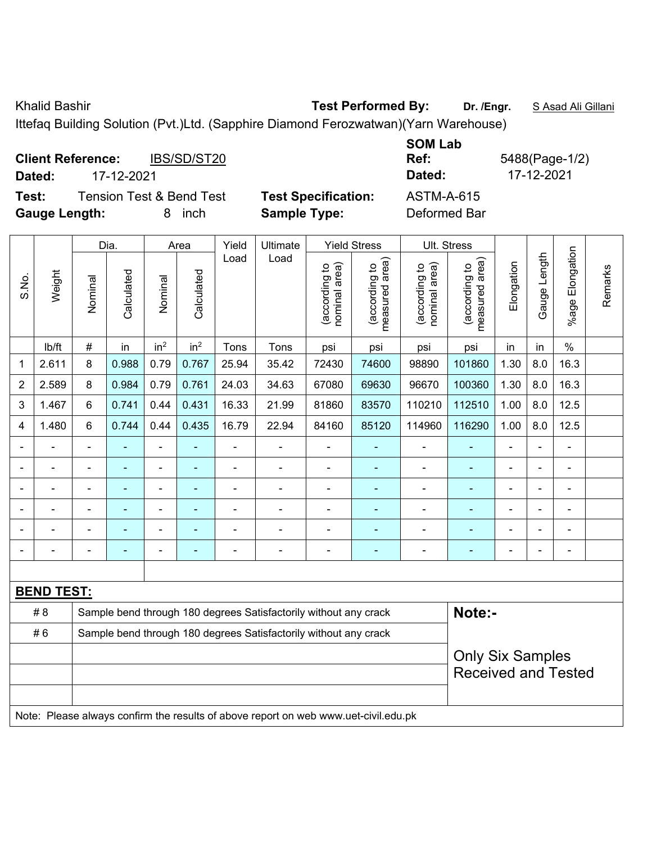Khalid Bashir **Test Performed By:** Dr. /Engr. **SAsad Ali Gillani** Charles By: Dr. /Engr. **SAsad Ali Gillani** 

Ittefaq Building Solution (Pvt.)Ltd. (Sapphire Diamond Ferozwatwan)(Yarn Warehouse)

| <b>Client Reference:</b><br>IBS/SD/ST20<br>17-12-2021<br>Dated: |                            | <b>SOM Lab</b><br>Ref:<br>5488(Page-1/2)<br>17-12-2021<br>Dated: |
|-----------------------------------------------------------------|----------------------------|------------------------------------------------------------------|
| <b>Tension Test &amp; Bend Test</b><br>Test:                    | <b>Test Specification:</b> | <b>ASTM-A-615</b>                                                |
| <b>Gauge Length:</b><br>inch<br>8.                              | <b>Sample Type:</b>        | Deformed Bar                                                     |

|       |                   |                                                                  | Dia.                     |                 | Area            | Yield          | Ultimate                                                                            |                                | <b>Yield Stress</b>             |                                | Ult. Stress                                           |                |                |                          |         |  |  |
|-------|-------------------|------------------------------------------------------------------|--------------------------|-----------------|-----------------|----------------|-------------------------------------------------------------------------------------|--------------------------------|---------------------------------|--------------------------------|-------------------------------------------------------|----------------|----------------|--------------------------|---------|--|--|
| S.No. | Weight            | Nominal                                                          | Calculated               | Nominal         | Calculated      | Load           | Load                                                                                | nominal area)<br>(according to | (according to<br>measured area) | nominal area)<br>(according to | (according to<br>measured area)                       | Elongation     | Gauge Length   | %age Elongation          | Remarks |  |  |
|       | lb/ft             | $\#$                                                             | in                       | in <sup>2</sup> | in <sup>2</sup> | Tons           | Tons                                                                                | psi                            | psi                             | psi                            | psi                                                   | in             | in             | $\%$                     |         |  |  |
| 1     | 2.611             | 8                                                                | 0.988                    | 0.79            | 0.767           | 25.94          | 35.42                                                                               | 72430                          | 74600                           | 98890                          | 101860                                                | 1.30           | 8.0            | 16.3                     |         |  |  |
| 2     | 2.589             | 8                                                                | 0.984                    | 0.79            | 0.761           | 24.03          | 34.63                                                                               | 67080                          | 69630                           | 96670                          | 100360                                                | 1.30           | 8.0            | 16.3                     |         |  |  |
| 3     | 1.467             | 6                                                                | 0.741                    | 0.44            | 0.431           | 16.33          | 21.99                                                                               | 81860                          | 83570                           | 110210                         | 112510                                                | 1.00           | 8.0            | 12.5                     |         |  |  |
| 4     | 1.480             | 6                                                                | 0.744                    | 0.44            | 0.435           | 16.79          | 22.94                                                                               | 84160                          | 85120                           | 114960                         | 116290                                                | 1.00           | 8.0            | 12.5                     |         |  |  |
|       |                   | $\blacksquare$                                                   | ä,                       | ä,              |                 |                | ä,                                                                                  | L,                             |                                 | $\blacksquare$                 | ä,                                                    | L,             | $\blacksquare$ | ä,                       |         |  |  |
|       |                   |                                                                  |                          |                 |                 |                | ÷                                                                                   | $\blacksquare$                 | $\blacksquare$                  | $\blacksquare$                 | $\blacksquare$                                        |                |                |                          |         |  |  |
|       |                   |                                                                  |                          |                 |                 |                | L.                                                                                  | ä,                             |                                 |                                |                                                       |                |                |                          |         |  |  |
|       | -                 |                                                                  |                          | ۰               |                 |                | $\blacksquare$                                                                      | $\blacksquare$                 | $\overline{\phantom{0}}$        | $\blacksquare$                 |                                                       | $\blacksquare$ | $\blacksquare$ | $\blacksquare$           |         |  |  |
|       | $\overline{a}$    |                                                                  |                          | ÷               |                 |                |                                                                                     | $\blacksquare$                 | $\blacksquare$                  | $\blacksquare$                 |                                                       | $\blacksquare$ | ÷,             | ÷,                       |         |  |  |
|       |                   | $\blacksquare$                                                   | $\overline{\phantom{0}}$ | ÷               |                 | $\blacksquare$ | $\blacksquare$                                                                      | $\blacksquare$                 | $\blacksquare$                  | $\overline{\phantom{0}}$       | ۰                                                     | $\blacksquare$ | $\blacksquare$ | $\overline{\phantom{a}}$ |         |  |  |
|       |                   |                                                                  |                          |                 |                 |                |                                                                                     |                                |                                 |                                |                                                       |                |                |                          |         |  |  |
|       | <b>BEND TEST:</b> |                                                                  |                          |                 |                 |                |                                                                                     |                                |                                 |                                |                                                       |                |                |                          |         |  |  |
|       | # 8               |                                                                  |                          |                 |                 |                | Sample bend through 180 degrees Satisfactorily without any crack                    |                                |                                 |                                | Note:-                                                |                |                |                          |         |  |  |
|       | #6                | Sample bend through 180 degrees Satisfactorily without any crack |                          |                 |                 |                |                                                                                     |                                |                                 |                                |                                                       |                |                |                          |         |  |  |
|       |                   |                                                                  |                          |                 |                 |                |                                                                                     |                                |                                 |                                | <b>Only Six Samples</b><br><b>Received and Tested</b> |                |                |                          |         |  |  |
|       |                   |                                                                  |                          |                 |                 |                | Note: Please always confirm the results of above report on web www.uet-civil.edu.pk |                                |                                 |                                |                                                       |                |                |                          |         |  |  |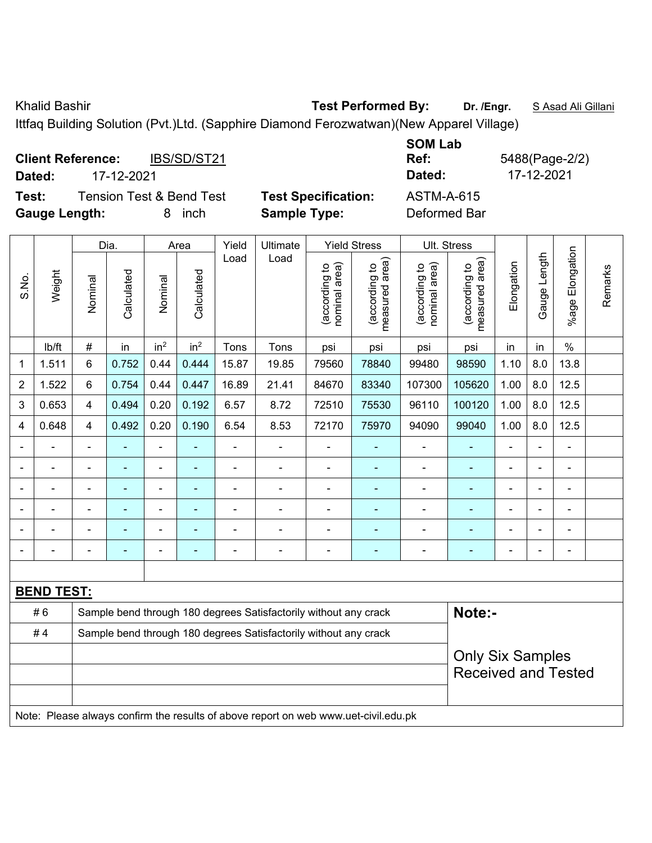Khalid Bashir **Test Performed By:** Dr. /Engr. **SAsad Ali Gillani** Cillani

Ittfaq Building Solution (Pvt.)Ltd. (Sapphire Diamond Ferozwatwan)(New Apparel Village)

| IBS/SD/ST21<br><b>Client Reference:</b><br>17-12-2021<br>Dated: |                            | <b>SOM Lab</b><br>Ref:<br>Dated: | 5488(Page-2/2)<br>17-12-2021 |
|-----------------------------------------------------------------|----------------------------|----------------------------------|------------------------------|
| <b>Tension Test &amp; Bend Test</b><br>Test:                    | <b>Test Specification:</b> | <b>ASTM-A-615</b>                |                              |
| <b>Gauge Length:</b><br>inch<br>x                               | <b>Sample Type:</b>        | Deformed Bar                     |                              |

|                |                                                                                  |                                                                  | Dia.           |                          | Area                     | Yield                    | Ultimate                                                                            |                                | <b>Yield Stress</b>                                   |                                | Ult. Stress                     |                |              |                         |         |
|----------------|----------------------------------------------------------------------------------|------------------------------------------------------------------|----------------|--------------------------|--------------------------|--------------------------|-------------------------------------------------------------------------------------|--------------------------------|-------------------------------------------------------|--------------------------------|---------------------------------|----------------|--------------|-------------------------|---------|
| S.No.          | Weight                                                                           | Nominal                                                          | Calculated     | Nominal                  | Calculated               | Load                     | Load                                                                                | nominal area)<br>(according to | (according to<br>measured area)                       | (according to<br>nominal area) | measured area)<br>(according to | Elongation     | Gauge Length | Elongation<br>$%$ age I | Remarks |
|                | lb/ft                                                                            | #                                                                | in             | in <sup>2</sup>          | in <sup>2</sup>          | Tons                     | Tons                                                                                | psi                            | psi                                                   | psi                            | psi                             | in             | in           | $\%$                    |         |
| 1              | 1.511                                                                            | 6                                                                | 0.752          | 0.44                     | 0.444                    | 15.87                    | 19.85                                                                               | 79560                          | 78840                                                 | 99480                          | 98590                           | 1.10           | 8.0          | 13.8                    |         |
| $\overline{2}$ | 1.522                                                                            | 6                                                                | 0.754          | 0.44                     | 0.447                    | 16.89                    | 21.41                                                                               | 84670                          | 83340                                                 | 107300                         | 105620                          | 1.00           | 8.0          | 12.5                    |         |
| 3              | 0.653                                                                            | 4                                                                | 0.494          | 0.20                     | 0.192                    | 6.57                     | 8.72                                                                                | 72510                          | 75530                                                 | 96110                          | 100120                          | 1.00           | 8.0          | 12.5                    |         |
| 4              | 0.648                                                                            | 4                                                                | 0.492          | 0.20                     | 0.190                    | 6.54                     | 8.53                                                                                | 72170                          | 75970                                                 | 94090                          | 99040                           | 1.00           | 8.0          | 12.5                    |         |
|                |                                                                                  |                                                                  | $\blacksquare$ | $\blacksquare$           |                          | ä,                       | ä,                                                                                  | L,                             | $\blacksquare$                                        | $\blacksquare$                 | $\blacksquare$                  | $\blacksquare$ |              | ä,                      |         |
|                | $\blacksquare$                                                                   |                                                                  |                |                          |                          |                          | $\blacksquare$                                                                      | $\blacksquare$                 | ۰                                                     | $\blacksquare$                 | ۰                               |                |              | $\blacksquare$          |         |
|                |                                                                                  |                                                                  |                | $\blacksquare$           |                          |                          | $\overline{a}$                                                                      | $\blacksquare$                 | $\blacksquare$                                        | $\blacksquare$                 | $\blacksquare$                  |                |              |                         |         |
|                | $\blacksquare$                                                                   |                                                                  |                | $\overline{\phantom{0}}$ |                          |                          | $\blacksquare$                                                                      | $\blacksquare$                 | $\blacksquare$                                        | $\blacksquare$                 | ۰                               |                |              | $\blacksquare$          |         |
|                | ÷                                                                                |                                                                  |                | $\blacksquare$           |                          |                          |                                                                                     | $\blacksquare$                 | ÷                                                     | $\blacksquare$                 | $\overline{\phantom{0}}$        |                |              | -                       |         |
|                | $\blacksquare$                                                                   | $\blacksquare$                                                   | $\blacksquare$ | $\overline{\phantom{0}}$ | $\overline{\phantom{a}}$ | $\overline{\phantom{0}}$ | $\blacksquare$                                                                      | $\blacksquare$                 | $\blacksquare$                                        | $\blacksquare$                 | ٠                               | $\blacksquare$ |              | $\blacksquare$          |         |
|                |                                                                                  |                                                                  |                |                          |                          |                          |                                                                                     |                                |                                                       |                                |                                 |                |              |                         |         |
|                | <b>BEND TEST:</b>                                                                |                                                                  |                |                          |                          |                          |                                                                                     |                                |                                                       |                                |                                 |                |              |                         |         |
|                | Note:-<br>#6<br>Sample bend through 180 degrees Satisfactorily without any crack |                                                                  |                |                          |                          |                          |                                                                                     |                                |                                                       |                                |                                 |                |              |                         |         |
|                | #4                                                                               | Sample bend through 180 degrees Satisfactorily without any crack |                |                          |                          |                          |                                                                                     |                                |                                                       |                                |                                 |                |              |                         |         |
|                |                                                                                  |                                                                  |                |                          |                          |                          |                                                                                     |                                | <b>Only Six Samples</b><br><b>Received and Tested</b> |                                |                                 |                |              |                         |         |
|                |                                                                                  |                                                                  |                |                          |                          |                          | Note: Please always confirm the results of above report on web www.uet-civil.edu.pk |                                |                                                       |                                |                                 |                |              |                         |         |